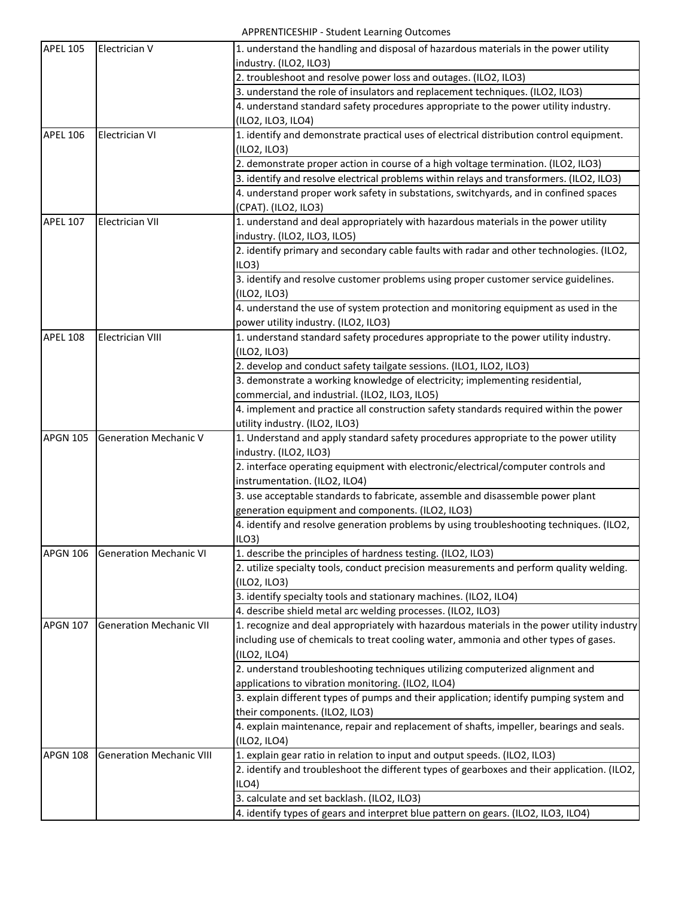APPRENTICESHIP - Student Learning Outcomes

| <b>APEL 105</b> | Electrician V                   | 1. understand the handling and disposal of hazardous materials in the power utility         |
|-----------------|---------------------------------|---------------------------------------------------------------------------------------------|
|                 |                                 | industry. (ILO2, ILO3)                                                                      |
|                 |                                 | 2. troubleshoot and resolve power loss and outages. (ILO2, ILO3)                            |
|                 |                                 | 3. understand the role of insulators and replacement techniques. (ILO2, ILO3)               |
|                 |                                 | 4. understand standard safety procedures appropriate to the power utility industry.         |
|                 |                                 | (ILO2, ILO3, ILO4)                                                                          |
| <b>APEL 106</b> | <b>Electrician VI</b>           | 1. identify and demonstrate practical uses of electrical distribution control equipment.    |
|                 |                                 | (ILO2, ILO3)                                                                                |
|                 |                                 | 2. demonstrate proper action in course of a high voltage termination. (ILO2, ILO3)          |
|                 |                                 | 3. identify and resolve electrical problems within relays and transformers. (ILO2, ILO3)    |
|                 |                                 | 4. understand proper work safety in substations, switchyards, and in confined spaces        |
|                 |                                 | (CPAT). (ILO2, ILO3)                                                                        |
| <b>APEL 107</b> | <b>Electrician VII</b>          | 1. understand and deal appropriately with hazardous materials in the power utility          |
|                 |                                 | industry. (ILO2, ILO3, ILO5)                                                                |
|                 |                                 | 2. identify primary and secondary cable faults with radar and other technologies. (ILO2,    |
|                 |                                 | ILO3                                                                                        |
|                 |                                 | 3. identify and resolve customer problems using proper customer service guidelines.         |
|                 |                                 | (ILO2, ILO3)                                                                                |
|                 |                                 | 4. understand the use of system protection and monitoring equipment as used in the          |
|                 |                                 | power utility industry. (ILO2, ILO3)                                                        |
| <b>APEL 108</b> | <b>Electrician VIII</b>         | 1. understand standard safety procedures appropriate to the power utility industry.         |
|                 |                                 | (ILO2, ILO3)                                                                                |
|                 |                                 | 2. develop and conduct safety tailgate sessions. (ILO1, ILO2, ILO3)                         |
|                 |                                 | 3. demonstrate a working knowledge of electricity; implementing residential,                |
|                 |                                 | commercial, and industrial. (ILO2, ILO3, ILO5)                                              |
|                 |                                 | 4. implement and practice all construction safety standards required within the power       |
|                 |                                 | utility industry. (ILO2, ILO3)                                                              |
| <b>APGN 105</b> | <b>Generation Mechanic V</b>    | 1. Understand and apply standard safety procedures appropriate to the power utility         |
|                 |                                 | industry. (ILO2, ILO3)                                                                      |
|                 |                                 | 2. interface operating equipment with electronic/electrical/computer controls and           |
|                 |                                 | instrumentation. (ILO2, ILO4)                                                               |
|                 |                                 | 3. use acceptable standards to fabricate, assemble and disassemble power plant              |
|                 |                                 | generation equipment and components. (ILO2, ILO3)                                           |
|                 |                                 | 4. identify and resolve generation problems by using troubleshooting techniques. (ILO2,     |
| <b>APGN 106</b> |                                 | ILO3<br>1. describe the principles of hardness testing. (ILO2, ILO3)                        |
|                 | <b>Generation Mechanic VI</b>   | 2. utilize specialty tools, conduct precision measurements and perform quality welding.     |
|                 |                                 | (ILO2, ILO3)                                                                                |
|                 |                                 | 3. identify specialty tools and stationary machines. (ILO2, ILO4)                           |
|                 |                                 | 4. describe shield metal arc welding processes. (ILO2, ILO3)                                |
| <b>APGN 107</b> | <b>Generation Mechanic VII</b>  | 1. recognize and deal appropriately with hazardous materials in the power utility industry  |
|                 |                                 | including use of chemicals to treat cooling water, ammonia and other types of gases.        |
|                 |                                 | (ILO2, ILO4)                                                                                |
|                 |                                 | 2. understand troubleshooting techniques utilizing computerized alignment and               |
|                 |                                 | applications to vibration monitoring. (ILO2, ILO4)                                          |
|                 |                                 | 3. explain different types of pumps and their application; identify pumping system and      |
|                 |                                 | their components. (ILO2, ILO3)                                                              |
|                 |                                 | 4. explain maintenance, repair and replacement of shafts, impeller, bearings and seals.     |
|                 |                                 | (ILO2, ILO4)                                                                                |
| <b>APGN 108</b> | <b>Generation Mechanic VIII</b> | 1. explain gear ratio in relation to input and output speeds. (ILO2, ILO3)                  |
|                 |                                 | 2. identify and troubleshoot the different types of gearboxes and their application. (ILO2, |
|                 |                                 | ILO4                                                                                        |
|                 |                                 | 3. calculate and set backlash. (ILO2, ILO3)                                                 |
|                 |                                 | 4. identify types of gears and interpret blue pattern on gears. (ILO2, ILO3, ILO4)          |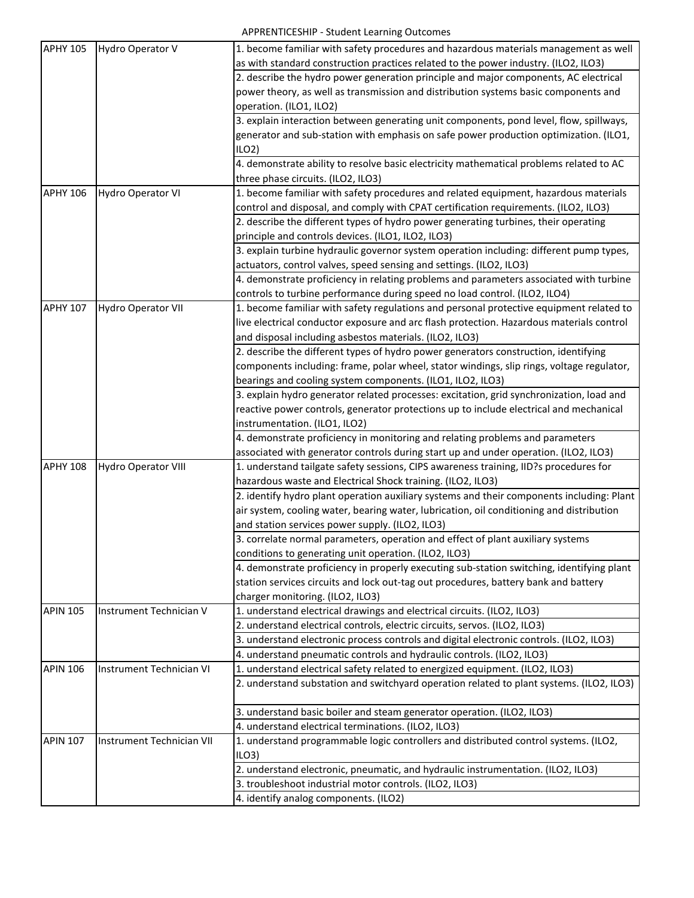| <b>APHY 105</b> | Hydro Operator V           | 1. become familiar with safety procedures and hazardous materials management as well      |
|-----------------|----------------------------|-------------------------------------------------------------------------------------------|
|                 |                            | as with standard construction practices related to the power industry. (ILO2, ILO3)       |
|                 |                            | 2. describe the hydro power generation principle and major components, AC electrical      |
|                 |                            | power theory, as well as transmission and distribution systems basic components and       |
|                 |                            | operation. (ILO1, ILO2)                                                                   |
|                 |                            | 3. explain interaction between generating unit components, pond level, flow, spillways,   |
|                 |                            | generator and sub-station with emphasis on safe power production optimization. (ILO1,     |
|                 |                            | ILO2                                                                                      |
|                 |                            | 4. demonstrate ability to resolve basic electricity mathematical problems related to AC   |
|                 |                            | three phase circuits. (ILO2, ILO3)                                                        |
| <b>APHY 106</b> | Hydro Operator VI          | 1. become familiar with safety procedures and related equipment, hazardous materials      |
|                 |                            | control and disposal, and comply with CPAT certification requirements. (ILO2, ILO3)       |
|                 |                            | 2. describe the different types of hydro power generating turbines, their operating       |
|                 |                            | principle and controls devices. (ILO1, ILO2, ILO3)                                        |
|                 |                            | 3. explain turbine hydraulic governor system operation including: different pump types,   |
|                 |                            | actuators, control valves, speed sensing and settings. (ILO2, ILO3)                       |
|                 |                            | 4. demonstrate proficiency in relating problems and parameters associated with turbine    |
|                 |                            | controls to turbine performance during speed no load control. (ILO2, ILO4)                |
| <b>APHY 107</b> | <b>Hydro Operator VII</b>  | 1. become familiar with safety regulations and personal protective equipment related to   |
|                 |                            | live electrical conductor exposure and arc flash protection. Hazardous materials control  |
|                 |                            | and disposal including asbestos materials. (ILO2, ILO3)                                   |
|                 |                            | 2. describe the different types of hydro power generators construction, identifying       |
|                 |                            | components including: frame, polar wheel, stator windings, slip rings, voltage regulator, |
|                 |                            | bearings and cooling system components. (ILO1, ILO2, ILO3)                                |
|                 |                            | 3. explain hydro generator related processes: excitation, grid synchronization, load and  |
|                 |                            | reactive power controls, generator protections up to include electrical and mechanical    |
|                 |                            | instrumentation. (ILO1, ILO2)                                                             |
|                 |                            | 4. demonstrate proficiency in monitoring and relating problems and parameters             |
|                 |                            | associated with generator controls during start up and under operation. (ILO2, ILO3)      |
| <b>APHY 108</b> | <b>Hydro Operator VIII</b> | 1. understand tailgate safety sessions, CIPS awareness training, IID?s procedures for     |
|                 |                            | hazardous waste and Electrical Shock training. (ILO2, ILO3)                               |
|                 |                            | 2. identify hydro plant operation auxiliary systems and their components including: Plant |
|                 |                            | air system, cooling water, bearing water, lubrication, oil conditioning and distribution  |
|                 |                            | and station services power supply. (ILO2, ILO3)                                           |
|                 |                            | 3. correlate normal parameters, operation and effect of plant auxiliary systems           |
|                 |                            | conditions to generating unit operation. (ILO2, ILO3)                                     |
|                 |                            | 4. demonstrate proficiency in properly executing sub-station switching, identifying plant |
|                 |                            | station services circuits and lock out-tag out procedures, battery bank and battery       |
|                 |                            | charger monitoring. (ILO2, ILO3)                                                          |
| <b>APIN 105</b> | Instrument Technician V    | 1. understand electrical drawings and electrical circuits. (ILO2, ILO3)                   |
|                 |                            | 2. understand electrical controls, electric circuits, servos. (ILO2, ILO3)                |
|                 |                            | 3. understand electronic process controls and digital electronic controls. (ILO2, ILO3)   |
|                 |                            | 4. understand pneumatic controls and hydraulic controls. (ILO2, ILO3)                     |
| <b>APIN 106</b> | Instrument Technician VI   | 1. understand electrical safety related to energized equipment. (ILO2, ILO3)              |
|                 |                            | 2. understand substation and switchyard operation related to plant systems. (ILO2, ILO3)  |
|                 |                            | 3. understand basic boiler and steam generator operation. (ILO2, ILO3)                    |
|                 |                            | 4. understand electrical terminations. (ILO2, ILO3)                                       |
| <b>APIN 107</b> | Instrument Technician VII  | 1. understand programmable logic controllers and distributed control systems. (ILO2,      |
|                 |                            | ILO3                                                                                      |
|                 |                            | 2. understand electronic, pneumatic, and hydraulic instrumentation. (ILO2, ILO3)          |
|                 |                            | 3. troubleshoot industrial motor controls. (ILO2, ILO3)                                   |
|                 |                            | 4. identify analog components. (ILO2)                                                     |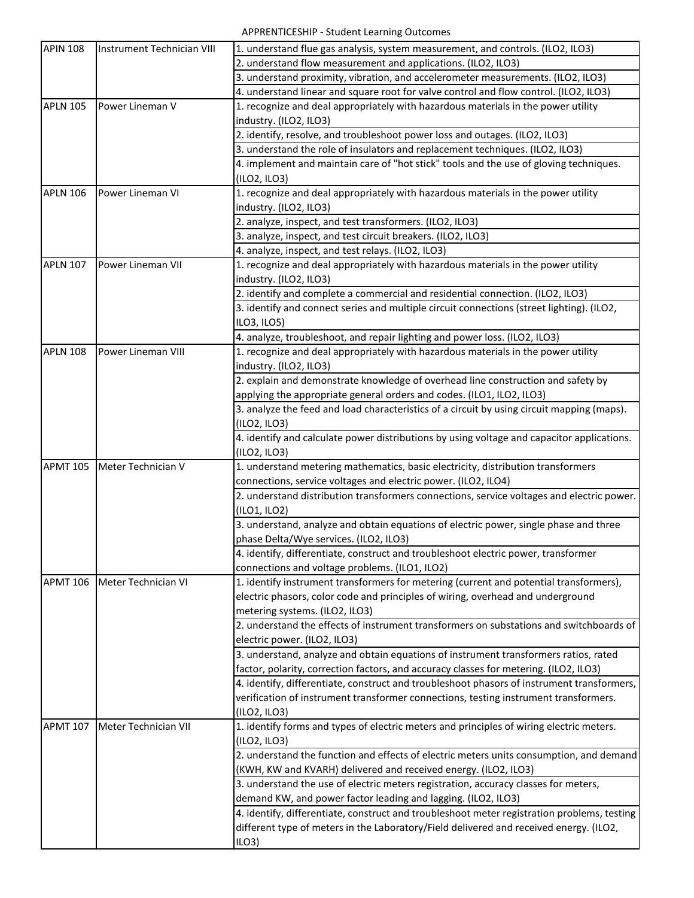APPRENTICESHIP - Student Learning Outcomes

| <b>APIN 108</b> | Instrument Technician VIII | 1. understand flue gas analysis, system measurement, and controls. (ILO2, ILO3)             |
|-----------------|----------------------------|---------------------------------------------------------------------------------------------|
|                 |                            | 2. understand flow measurement and applications. (ILO2, ILO3)                               |
|                 |                            | 3. understand proximity, vibration, and accelerometer measurements. (ILO2, ILO3)            |
|                 |                            | 4. understand linear and square root for valve control and flow control. (ILO2, ILO3)       |
| <b>APLN 105</b> | Power Lineman V            | 1. recognize and deal appropriately with hazardous materials in the power utility           |
|                 |                            | industry. (ILO2, ILO3)                                                                      |
|                 |                            | 2. identify, resolve, and troubleshoot power loss and outages. (ILO2, ILO3)                 |
|                 |                            | 3. understand the role of insulators and replacement techniques. (ILO2, ILO3)               |
|                 |                            | 4. implement and maintain care of "hot stick" tools and the use of gloving techniques.      |
|                 |                            | (ILO2, ILO3)                                                                                |
| <b>APLN 106</b> | Power Lineman VI           | 1. recognize and deal appropriately with hazardous materials in the power utility           |
|                 |                            | industry. (ILO2, ILO3)                                                                      |
|                 |                            | 2. analyze, inspect, and test transformers. (ILO2, ILO3)                                    |
|                 |                            | 3. analyze, inspect, and test circuit breakers. (ILO2, ILO3)                                |
|                 |                            | 4. analyze, inspect, and test relays. (ILO2, ILO3)                                          |
| <b>APLN 107</b> | Power Lineman VII          | 1. recognize and deal appropriately with hazardous materials in the power utility           |
|                 |                            | industry. (ILO2, ILO3)                                                                      |
|                 |                            | 2. identify and complete a commercial and residential connection. (ILO2, ILO3)              |
|                 |                            | 3. identify and connect series and multiple circuit connections (street lighting). (ILO2,   |
|                 |                            | ILO3, ILO5)                                                                                 |
|                 |                            | 4. analyze, troubleshoot, and repair lighting and power loss. (ILO2, ILO3)                  |
| <b>APLN 108</b> | Power Lineman VIII         |                                                                                             |
|                 |                            | 1. recognize and deal appropriately with hazardous materials in the power utility           |
|                 |                            | industry. (ILO2, ILO3)                                                                      |
|                 |                            | 2. explain and demonstrate knowledge of overhead line construction and safety by            |
|                 |                            | applying the appropriate general orders and codes. (ILO1, ILO2, ILO3)                       |
|                 |                            | 3. analyze the feed and load characteristics of a circuit by using circuit mapping (maps).  |
|                 |                            | (ILO2, ILO3)                                                                                |
|                 |                            | 4. identify and calculate power distributions by using voltage and capacitor applications.  |
|                 |                            | (ILO2, ILO3)                                                                                |
| <b>APMT 105</b> | Meter Technician V         | 1. understand metering mathematics, basic electricity, distribution transformers            |
|                 |                            | connections, service voltages and electric power. (ILO2, ILO4)                              |
|                 |                            | 2. understand distribution transformers connections, service voltages and electric power.   |
|                 |                            | (ILO1, ILO2)                                                                                |
|                 |                            | 3. understand, analyze and obtain equations of electric power, single phase and three       |
|                 |                            | phase Delta/Wye services. (ILO2, ILO3)                                                      |
|                 |                            | 4. identify, differentiate, construct and troubleshoot electric power, transformer          |
|                 |                            | connections and voltage problems. (ILO1, ILO2)                                              |
| <b>APMT 106</b> | Meter Technician VI        | 1. identify instrument transformers for metering (current and potential transformers),      |
|                 |                            | electric phasors, color code and principles of wiring, overhead and underground             |
|                 |                            | metering systems. (ILO2, ILO3)                                                              |
|                 |                            | 2. understand the effects of instrument transformers on substations and switchboards of     |
|                 |                            | electric power. (ILO2, ILO3)                                                                |
|                 |                            | 3. understand, analyze and obtain equations of instrument transformers ratios, rated        |
|                 |                            | factor, polarity, correction factors, and accuracy classes for metering. (ILO2, ILO3)       |
|                 |                            | 4. identify, differentiate, construct and troubleshoot phasors of instrument transformers,  |
|                 |                            | verification of instrument transformer connections, testing instrument transformers.        |
|                 |                            | (ILO2, ILO3)                                                                                |
| <b>APMT 107</b> | Meter Technician VII       | 1. identify forms and types of electric meters and principles of wiring electric meters.    |
|                 |                            | (ILO2, ILO3)                                                                                |
|                 |                            | 2. understand the function and effects of electric meters units consumption, and demand     |
|                 |                            | (KWH, KW and KVARH) delivered and received energy. (ILO2, ILO3)                             |
|                 |                            | 3. understand the use of electric meters registration, accuracy classes for meters,         |
|                 |                            | demand KW, and power factor leading and lagging. (ILO2, ILO3)                               |
|                 |                            | 4. identify, differentiate, construct and troubleshoot meter registration problems, testing |
|                 |                            | different type of meters in the Laboratory/Field delivered and received energy. (ILO2,      |
|                 |                            |                                                                                             |
|                 |                            | ILO3                                                                                        |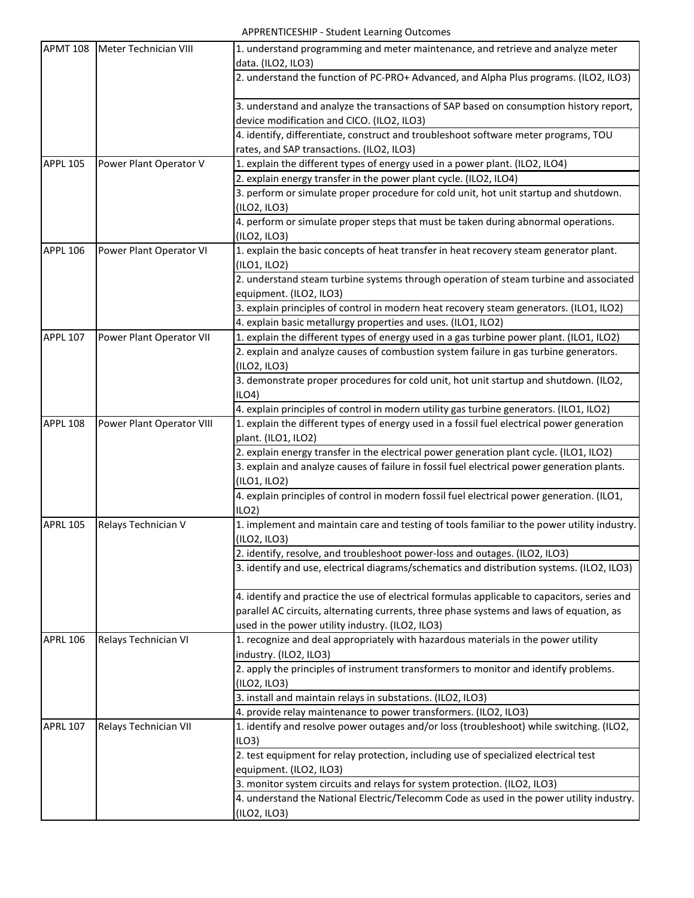APPRENTICESHIP - Student Learning Outcomes

| <b>APMT 108</b> | Meter Technician VIII     | 1. understand programming and meter maintenance, and retrieve and analyze meter<br>data. (ILO2, ILO3)                                                                                                                                        |
|-----------------|---------------------------|----------------------------------------------------------------------------------------------------------------------------------------------------------------------------------------------------------------------------------------------|
|                 |                           | 2. understand the function of PC-PRO+ Advanced, and Alpha Plus programs. (ILO2, ILO3)                                                                                                                                                        |
|                 |                           | 3. understand and analyze the transactions of SAP based on consumption history report,<br>device modification and CICO. (ILO2, ILO3)                                                                                                         |
|                 |                           | 4. identify, differentiate, construct and troubleshoot software meter programs, TOU<br>rates, and SAP transactions. (ILO2, ILO3)                                                                                                             |
| <b>APPL 105</b> | Power Plant Operator V    | 1. explain the different types of energy used in a power plant. (ILO2, ILO4)                                                                                                                                                                 |
|                 |                           | 2. explain energy transfer in the power plant cycle. (ILO2, ILO4)                                                                                                                                                                            |
|                 |                           | 3. perform or simulate proper procedure for cold unit, hot unit startup and shutdown.<br>(ILO2, ILO3)                                                                                                                                        |
|                 |                           | 4. perform or simulate proper steps that must be taken during abnormal operations.<br>(ILO2, ILO3)                                                                                                                                           |
| <b>APPL 106</b> | Power Plant Operator VI   | 1. explain the basic concepts of heat transfer in heat recovery steam generator plant.                                                                                                                                                       |
|                 |                           | (ILO1, ILO2)                                                                                                                                                                                                                                 |
|                 |                           | 2. understand steam turbine systems through operation of steam turbine and associated<br>equipment. (ILO2, ILO3)                                                                                                                             |
|                 |                           | 3. explain principles of control in modern heat recovery steam generators. (ILO1, ILO2)                                                                                                                                                      |
|                 |                           | 4. explain basic metallurgy properties and uses. (ILO1, ILO2)                                                                                                                                                                                |
| <b>APPL 107</b> | Power Plant Operator VII  | 1. explain the different types of energy used in a gas turbine power plant. (ILO1, ILO2)                                                                                                                                                     |
|                 |                           | 2. explain and analyze causes of combustion system failure in gas turbine generators.<br>(ILO2, ILO3)                                                                                                                                        |
|                 |                           | 3. demonstrate proper procedures for cold unit, hot unit startup and shutdown. (ILO2,<br>ILO4                                                                                                                                                |
|                 |                           | 4. explain principles of control in modern utility gas turbine generators. (ILO1, ILO2)                                                                                                                                                      |
| <b>APPL 108</b> | Power Plant Operator VIII | 1. explain the different types of energy used in a fossil fuel electrical power generation<br>plant. (ILO1, ILO2)                                                                                                                            |
|                 |                           | 2. explain energy transfer in the electrical power generation plant cycle. (ILO1, ILO2)                                                                                                                                                      |
|                 |                           | 3. explain and analyze causes of failure in fossil fuel electrical power generation plants.<br>(ILO1, ILO2)                                                                                                                                  |
|                 |                           | 4. explain principles of control in modern fossil fuel electrical power generation. (ILO1,<br>ILO2                                                                                                                                           |
| <b>APRL 105</b> | Relays Technician V       | 1. implement and maintain care and testing of tools familiar to the power utility industry.<br>(ILO2, ILO3)                                                                                                                                  |
|                 |                           | 2. identify, resolve, and troubleshoot power-loss and outages. (ILO2, ILO3)                                                                                                                                                                  |
|                 |                           | 3. identify and use, electrical diagrams/schematics and distribution systems. (ILO2, ILO3)                                                                                                                                                   |
|                 |                           | 4. identify and practice the use of electrical formulas applicable to capacitors, series and<br>parallel AC circuits, alternating currents, three phase systems and laws of equation, as<br>used in the power utility industry. (ILO2, ILO3) |
| <b>APRL 106</b> | Relays Technician VI      | 1. recognize and deal appropriately with hazardous materials in the power utility<br>industry. (ILO2, ILO3)                                                                                                                                  |
|                 |                           | 2. apply the principles of instrument transformers to monitor and identify problems.<br>(ILO2, ILO3)                                                                                                                                         |
|                 |                           | 3. install and maintain relays in substations. (ILO2, ILO3)                                                                                                                                                                                  |
|                 |                           | 4. provide relay maintenance to power transformers. (ILO2, ILO3)                                                                                                                                                                             |
| <b>APRL 107</b> | Relays Technician VII     | 1. identify and resolve power outages and/or loss (troubleshoot) while switching. (ILO2,<br>ILO3                                                                                                                                             |
|                 |                           | 2. test equipment for relay protection, including use of specialized electrical test                                                                                                                                                         |
|                 |                           | equipment. (ILO2, ILO3)                                                                                                                                                                                                                      |
|                 |                           | 3. monitor system circuits and relays for system protection. (ILO2, ILO3)                                                                                                                                                                    |
|                 |                           | 4. understand the National Electric/Telecomm Code as used in the power utility industry.<br>(ILO2, ILO3)                                                                                                                                     |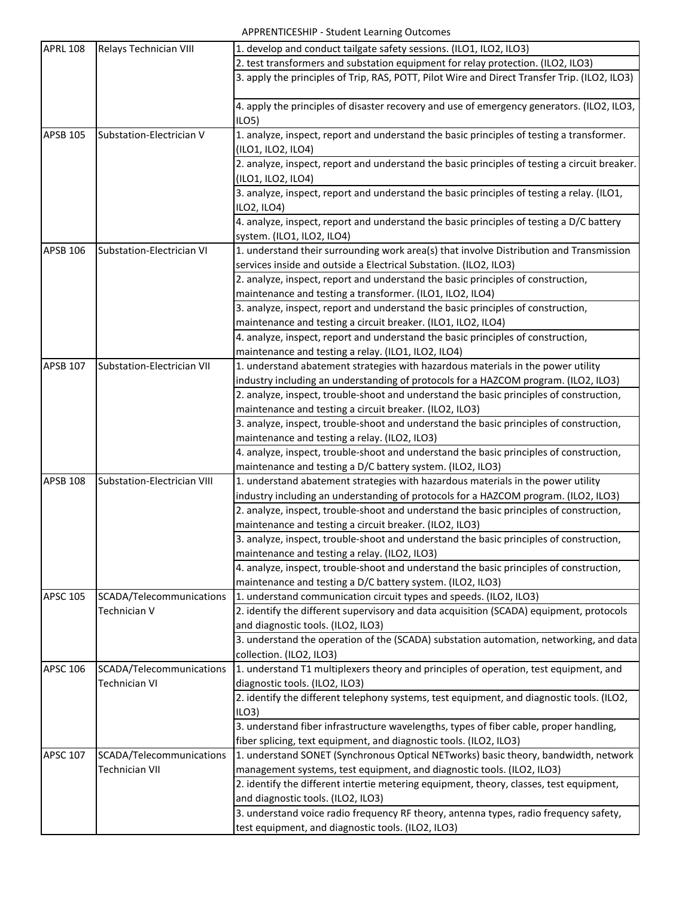| <b>APRL 108</b> | Relays Technician VIII      | 1. develop and conduct tailgate safety sessions. (ILO1, ILO2, ILO3)                           |
|-----------------|-----------------------------|-----------------------------------------------------------------------------------------------|
|                 |                             | 2. test transformers and substation equipment for relay protection. (ILO2, ILO3)              |
|                 |                             | 3. apply the principles of Trip, RAS, POTT, Pilot Wire and Direct Transfer Trip. (ILO2, ILO3) |
|                 |                             |                                                                                               |
|                 |                             | 4. apply the principles of disaster recovery and use of emergency generators. (ILO2, ILO3,    |
|                 |                             | ILO5)                                                                                         |
| <b>APSB 105</b> | Substation-Electrician V    | 1. analyze, inspect, report and understand the basic principles of testing a transformer.     |
|                 |                             | (ILO1, ILO2, ILO4)                                                                            |
|                 |                             | 2. analyze, inspect, report and understand the basic principles of testing a circuit breaker. |
|                 |                             | (ILO1, ILO2, ILO4)                                                                            |
|                 |                             | 3. analyze, inspect, report and understand the basic principles of testing a relay. (ILO1,    |
|                 |                             | ILO2, ILO4)                                                                                   |
|                 |                             | 4. analyze, inspect, report and understand the basic principles of testing a D/C battery      |
|                 |                             | system. (ILO1, ILO2, ILO4)                                                                    |
| <b>APSB 106</b> | Substation-Electrician VI   | 1. understand their surrounding work area(s) that involve Distribution and Transmission       |
|                 |                             | services inside and outside a Electrical Substation. (ILO2, ILO3)                             |
|                 |                             | 2. analyze, inspect, report and understand the basic principles of construction,              |
|                 |                             | maintenance and testing a transformer. (ILO1, ILO2, ILO4)                                     |
|                 |                             | 3. analyze, inspect, report and understand the basic principles of construction,              |
|                 |                             | maintenance and testing a circuit breaker. (ILO1, ILO2, ILO4)                                 |
|                 |                             | 4. analyze, inspect, report and understand the basic principles of construction,              |
|                 |                             | maintenance and testing a relay. (ILO1, ILO2, ILO4)                                           |
| <b>APSB 107</b> | Substation-Electrician VII  | 1. understand abatement strategies with hazardous materials in the power utility              |
|                 |                             | industry including an understanding of protocols for a HAZCOM program. (ILO2, ILO3)           |
|                 |                             | 2. analyze, inspect, trouble-shoot and understand the basic principles of construction,       |
|                 |                             | maintenance and testing a circuit breaker. (ILO2, ILO3)                                       |
|                 |                             | 3. analyze, inspect, trouble-shoot and understand the basic principles of construction,       |
|                 |                             | maintenance and testing a relay. (ILO2, ILO3)                                                 |
|                 |                             | 4. analyze, inspect, trouble-shoot and understand the basic principles of construction,       |
|                 |                             | maintenance and testing a D/C battery system. (ILO2, ILO3)                                    |
| <b>APSB 108</b> | Substation-Electrician VIII | 1. understand abatement strategies with hazardous materials in the power utility              |
|                 |                             | industry including an understanding of protocols for a HAZCOM program. (ILO2, ILO3)           |
|                 |                             | 2. analyze, inspect, trouble-shoot and understand the basic principles of construction,       |
|                 |                             | maintenance and testing a circuit breaker. (ILO2, ILO3)                                       |
|                 |                             | 3. analyze, inspect, trouble-shoot and understand the basic principles of construction,       |
|                 |                             | maintenance and testing a relay. (ILO2, ILO3)                                                 |
|                 |                             | 4. analyze, inspect, trouble-shoot and understand the basic principles of construction,       |
|                 |                             | maintenance and testing a D/C battery system. (ILO2, ILO3)                                    |
| <b>APSC 105</b> | SCADA/Telecommunications    | 1. understand communication circuit types and speeds. (ILO2, ILO3)                            |
|                 | Technician V                | 2. identify the different supervisory and data acquisition (SCADA) equipment, protocols       |
|                 |                             | and diagnostic tools. (ILO2, ILO3)                                                            |
|                 |                             | 3. understand the operation of the (SCADA) substation automation, networking, and data        |
|                 |                             | collection. (ILO2, ILO3)                                                                      |
| <b>APSC 106</b> | SCADA/Telecommunications    | 1. understand T1 multiplexers theory and principles of operation, test equipment, and         |
|                 | <b>Technician VI</b>        | diagnostic tools. (ILO2, ILO3)                                                                |
|                 |                             | 2. identify the different telephony systems, test equipment, and diagnostic tools. (ILO2,     |
|                 |                             | ILO3                                                                                          |
|                 |                             | 3. understand fiber infrastructure wavelengths, types of fiber cable, proper handling,        |
|                 |                             | fiber splicing, text equipment, and diagnostic tools. (ILO2, ILO3)                            |
| <b>APSC 107</b> | SCADA/Telecommunications    | 1. understand SONET (Synchronous Optical NETworks) basic theory, bandwidth, network           |
|                 | <b>Technician VII</b>       | management systems, test equipment, and diagnostic tools. (ILO2, ILO3)                        |
|                 |                             | 2. identify the different intertie metering equipment, theory, classes, test equipment,       |
|                 |                             | and diagnostic tools. (ILO2, ILO3)                                                            |
|                 |                             | 3. understand voice radio frequency RF theory, antenna types, radio frequency safety,         |
|                 |                             | test equipment, and diagnostic tools. (ILO2, ILO3)                                            |